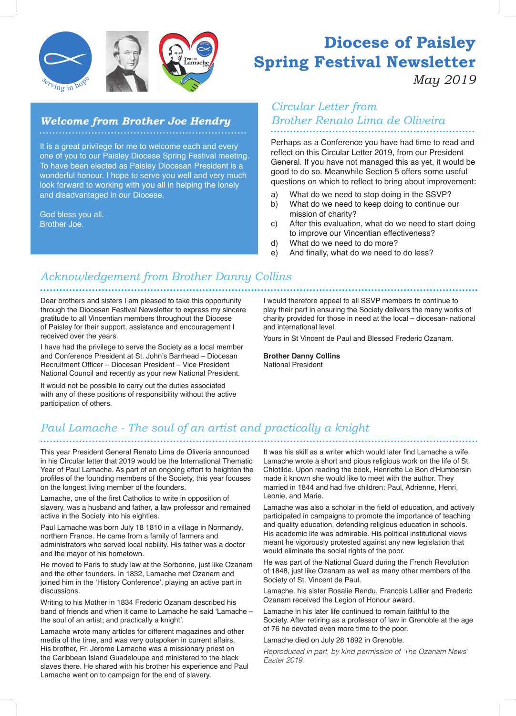

#### *Welcome from Brother Joe Hendry*

It is a great privilege for me to welcome each and every one of you to our Paisley Diocese Spring Festival meeting. To have been elected as Paisley Diocesan President is a wonderful honour. I hope to serve you well and very much look forward to working with you all in helping the lonely and disadvantaged in our Diocese.

God bless you all. Brother Joe.

# **Diocese of Paisley Spring Festival Newsletter**

*May 2019*

## *Circular Letter from Brother Renato Lima de Oliveira*

Perhaps as a Conference you have had time to read and reflect on this Circular Letter 2019, from our President General. If you have not managed this as yet, it would be good to do so. Meanwhile Section 5 offers some useful questions on which to reflect to bring about improvement:

- a) What do we need to stop doing in the SSVP?
- b) What do we need to keep doing to continue our mission of charity?
- c) After this evaluation, what do we need to start doing to improve our Vincentian effectiveness?
- d) What do we need to do more?
- e) And finally, what do we need to do less?

#### *Acknowledgement from Brother Danny Collins*

Dear brothers and sisters I am pleased to take this opportunity through the Diocesan Festival Newsletter to express my sincere gratitude to all Vincentian members throughout the Diocese of Paisley for their support, assistance and encouragement I received over the years.

I have had the privilege to serve the Society as a local member and Conference President at St. John's Barrhead – Diocesan Recruitment Officer – Diocesan President – Vice President National Council and recently as your new National President.

It would not be possible to carry out the duties associated with any of these positions of responsibility without the active participation of others.

I would therefore appeal to all SSVP members to continue to play their part in ensuring the Society delivers the many works of charity provided for those in need at the local – diocesan- national and international level.

Yours in St Vincent de Paul and Blessed Frederic Ozanam.

**Brother Danny Collins** National President

#### *Paul Lamache - The soul of an artist and practically a knight*

This year President General Renato Lima de Oliveria announced in his Circular letter that 2019 would be the International Thematic Year of Paul Lamache. As part of an ongoing effort to heighten the profiles of the founding members of the Society, this year focuses on the longest living member of the founders.

Lamache, one of the first Catholics to write in opposition of slavery, was a husband and father, a law professor and remained active in the Society into his eighties.

Paul Lamache was born July 18 1810 in a village in Normandy, northern France. He came from a family of farmers and administrators who served local nobility. His father was a doctor and the mayor of his hometown.

He moved to Paris to study law at the Sorbonne, just like Ozanam and the other founders. In 1832, Lamache met Ozanam and joined him in the 'History Conference', playing an active part in discussions.

Writing to his Mother in 1834 Frederic Ozanam described his band of friends and when it came to Lamache he said 'Lamache – the soul of an artist; and practically a knight'.

Lamache wrote many articles for different magazines and other media of the time, and was very outspoken in current affairs. His brother, Fr. Jerome Lamache was a missionary priest on the Caribbean Island Guadeloupe and ministered to the black slaves there. He shared with his brother his experience and Paul Lamache went on to campaign for the end of slavery.

It was his skill as a writer which would later find Lamache a wife. Lamache wrote a short and pious religious work on the life of St. Chlotilde. Upon reading the book, Henriette Le Bon d'Humbersin made it known she would like to meet with the author. They married in 1844 and had five children: Paul, Adrienne, Henri, Leonie, and Marie.

Lamache was also a scholar in the field of education, and actively participated in campaigns to promote the importance of teaching and quality education, defending religious education in schools. His academic life was admirable. His political institutional views meant he vigorously protested against any new legislation that would eliminate the social rights of the poor.

He was part of the National Guard during the French Revolution of 1848, just like Ozanam as well as many other members of the Society of St. Vincent de Paul.

Lamache, his sister Rosalie Rendu, Francois Lallier and Frederic Ozanam received the Legion of Honour award.

Lamache in his later life continued to remain faithful to the Society. After retiring as a professor of law in Grenoble at the age of 76 he devoted even more time to the poor.

Lamache died on July 28 1892 in Grenoble.

*Reproduced in part, by kind permission of 'The Ozanam News' Easter 2019.*